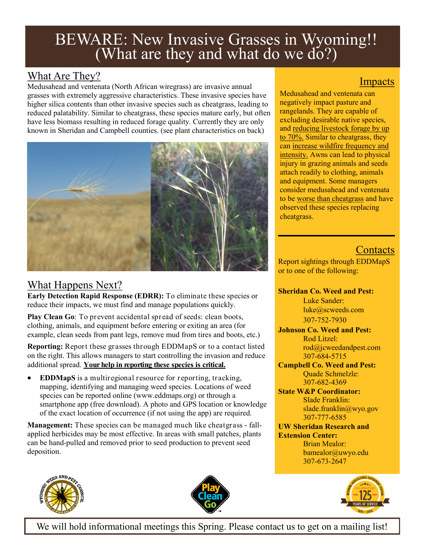# BEWARE: New Invasive Grasses in Wyoming!! (What are they and what do we do?)

## What Are They?

Medusahead and ventenata (North African wiregrass) are invasive annual grasses with extremely aggressive characteristics. These invasive species have higher silica contents than other invasive species such as cheatgrass, leading to reduced palatability. Similar to cheatgrass, these species mature early, but often have less biomass resulting in reduced forage quality. Currently they are only known in Sheridan and Campbell counties. (see plant characteristics on back)



### What Happens Next?

**Early Detection Rapid Response (EDRR):** To eliminate these species or reduce their impacts, we must find and manage populations quickly.

**Play Clean Go**: To prevent accidental spread of seeds: clean boots, clothing, animals, and equipment before entering or exiting an area (for example, clean seeds from pant legs, remove mud from tires and boots, etc.)

**Reporting:** Report these grasses through EDDMapS or to a contact listed on the right. This allows managers to start controlling the invasion and reduce additional spread. **Your help in reporting these species is critical.**

 **EDDMapS** is a multiregional resource for reporting, tracking, mapping, identifying and managing weed species. Locations of weed species can be reported online (www.eddmaps.org) or through a smartphone app (free download). A photo and GPS location or knowledge of the exact location of occurrence (if not using the app) are required.

**Management:** These species can be managed much like cheatgrass - fallapplied herbicides may be most effective. In areas with small patches, plants can be hand-pulled and removed prior to seed production to prevent seed deposition.

#### Impacts

Medusahead and ventenata can negatively impact pasture and rangelands. They are capable of excluding desirable native species, and reducing livestock forage by up to 70%. Similar to cheatgrass, they can increase wildfire frequency and intensity. Awns can lead to physical injury in grazing animals and seeds attach readily to clothing, animals and equipment. Some managers consider medusahead and ventenata to be worse than cheatgrass and have observed these species replacing cheatgrass.

# **Contacts**

Report sightings through EDDMapS or to one of the following:

**Sheridan Co. Weed and Pest:**

Luke Sander: [luke@scweeds.com](mailto:luke@scweeds.com) 307-752-7930

**Johnson Co. Weed and Pest:** Rod Litzel: [rod@jcweedandpest.com](mailto:rod@jcweedandpest.com) 307-684-5715

- **Campbell Co. Weed and Pest:** Quade Schmelzle: 307-682-4369
- **State W&P Coordinator:**  Slade Franklin: slade.franklin@wyo.gov 307-777-6585

#### **UW Sheridan Research and Extension Center:**

Brian Mealor: bamealor@uwyo.edu 307-673-2647



We will hold informational meetings this Spring. Please contact us to get on a mailing list!